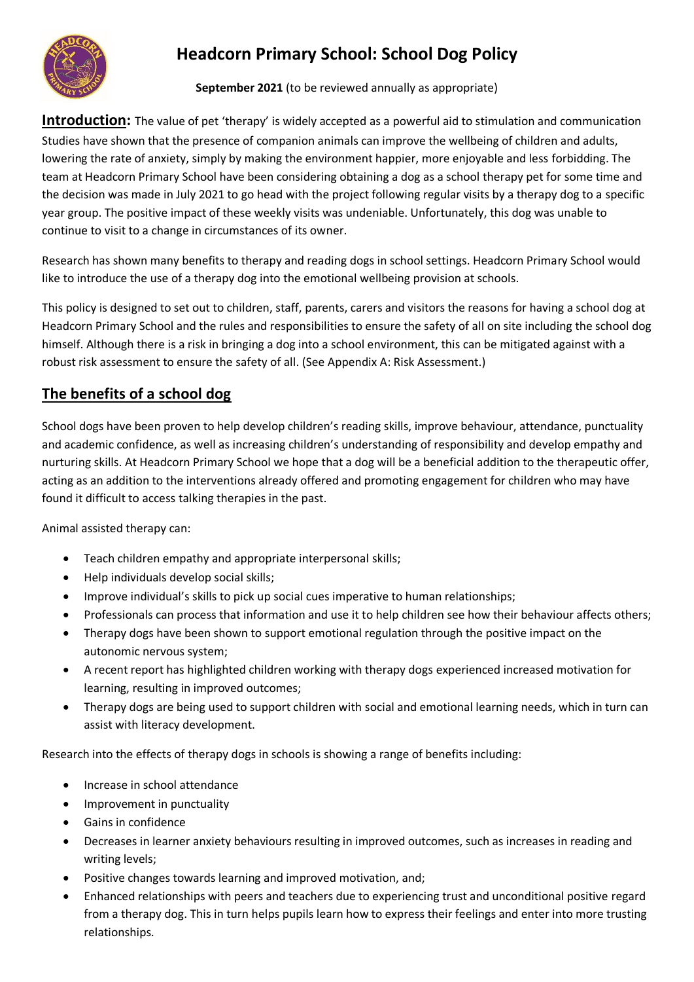

# **Headcorn Primary School: School Dog Policy**

**September 2021** (to be reviewed annually as appropriate)

**Introduction:** The value of pet 'therapy' is widely accepted as a powerful aid to stimulation and communication Studies have shown that the presence of companion animals can improve the wellbeing of children and adults, lowering the rate of anxiety, simply by making the environment happier, more enjoyable and less forbidding. The team at Headcorn Primary School have been considering obtaining a dog as a school therapy pet for some time and the decision was made in July 2021 to go head with the project following regular visits by a therapy dog to a specific year group. The positive impact of these weekly visits was undeniable. Unfortunately, this dog was unable to continue to visit to a change in circumstances of its owner.

Research has shown many benefits to therapy and reading dogs in school settings. Headcorn Primary School would like to introduce the use of a therapy dog into the emotional wellbeing provision at schools.

This policy is designed to set out to children, staff, parents, carers and visitors the reasons for having a school dog at Headcorn Primary School and the rules and responsibilities to ensure the safety of all on site including the school dog himself. Although there is a risk in bringing a dog into a school environment, this can be mitigated against with a robust risk assessment to ensure the safety of all. (See Appendix A: Risk Assessment.)

## **The benefits of a school dog**

School dogs have been proven to help develop children's reading skills, improve behaviour, attendance, punctuality and academic confidence, as well as increasing children's understanding of responsibility and develop empathy and nurturing skills. At Headcorn Primary School we hope that a dog will be a beneficial addition to the therapeutic offer, acting as an addition to the interventions already offered and promoting engagement for children who may have found it difficult to access talking therapies in the past.

Animal assisted therapy can:

- Teach children empathy and appropriate interpersonal skills;
- Help individuals develop social skills;
- Improve individual's skills to pick up social cues imperative to human relationships;
- Professionals can process that information and use it to help children see how their behaviour affects others;
- Therapy dogs have been shown to support emotional regulation through the positive impact on the autonomic nervous system;
- A recent report has highlighted children working with therapy dogs experienced increased motivation for learning, resulting in improved outcomes;
- Therapy dogs are being used to support children with social and emotional learning needs, which in turn can assist with literacy development.

Research into the effects of therapy dogs in schools is showing a range of benefits including:

- Increase in school attendance
- Improvement in punctuality
- Gains in confidence
- Decreases in learner anxiety behaviours resulting in improved outcomes, such as increases in reading and writing levels;
- Positive changes towards learning and improved motivation, and;
- Enhanced relationships with peers and teachers due to experiencing trust and unconditional positive regard from a therapy dog. This in turn helps pupils learn how to express their feelings and enter into more trusting relationships.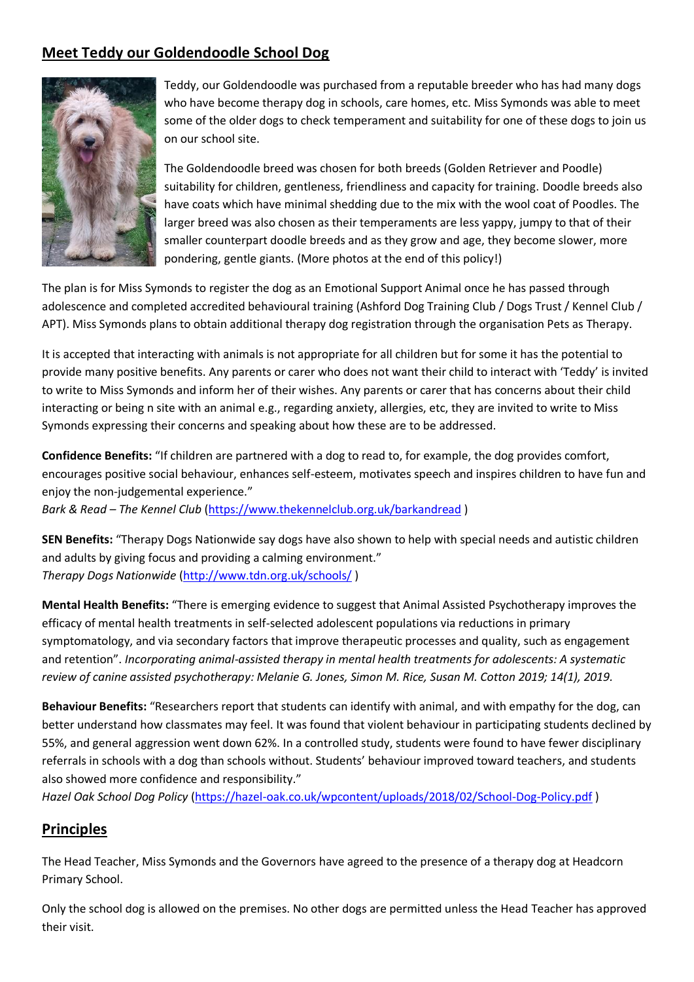## **Meet Teddy our Goldendoodle School Dog**



Teddy, our Goldendoodle was purchased from a reputable breeder who has had many dogs who have become therapy dog in schools, care homes, etc. Miss Symonds was able to meet some of the older dogs to check temperament and suitability for one of these dogs to join us on our school site.

The Goldendoodle breed was chosen for both breeds (Golden Retriever and Poodle) suitability for children, gentleness, friendliness and capacity for training. Doodle breeds also have coats which have minimal shedding due to the mix with the wool coat of Poodles. The larger breed was also chosen as their temperaments are less yappy, jumpy to that of their smaller counterpart doodle breeds and as they grow and age, they become slower, more pondering, gentle giants. (More photos at the end of this policy!)

The plan is for Miss Symonds to register the dog as an Emotional Support Animal once he has passed through adolescence and completed accredited behavioural training (Ashford Dog Training Club / Dogs Trust / Kennel Club / APT). Miss Symonds plans to obtain additional therapy dog registration through the organisation Pets as Therapy.

It is accepted that interacting with animals is not appropriate for all children but for some it has the potential to provide many positive benefits. Any parents or carer who does not want their child to interact with 'Teddy' is invited to write to Miss Symonds and inform her of their wishes. Any parents or carer that has concerns about their child interacting or being n site with an animal e.g., regarding anxiety, allergies, etc, they are invited to write to Miss Symonds expressing their concerns and speaking about how these are to be addressed.

**Confidence Benefits:** "If children are partnered with a dog to read to, for example, the dog provides comfort, encourages positive social behaviour, enhances self-esteem, motivates speech and inspires children to have fun and enjoy the non-judgemental experience."

*Bark & Read – The Kennel Club* [\(https://www.thekennelclub.org.uk/barkandread](https://www.thekennelclub.org.uk/barkandread) )

**SEN Benefits:** "Therapy Dogs Nationwide say dogs have also shown to help with special needs and autistic children and adults by giving focus and providing a calming environment." *Therapy Dogs Nationwide* [\(http://www.tdn.org.uk/schools/](http://www.tdn.org.uk/schools/) )

**Mental Health Benefits:** "There is emerging evidence to suggest that Animal Assisted Psychotherapy improves the efficacy of mental health treatments in self-selected adolescent populations via reductions in primary symptomatology, and via secondary factors that improve therapeutic processes and quality, such as engagement and retention". *Incorporating animal-assisted therapy in mental health treatments for adolescents: A systematic review of canine assisted psychotherapy: Melanie G. Jones, Simon M. Rice, Susan M. Cotton 2019; 14(1), 2019.*

**Behaviour Benefits:** "Researchers report that students can identify with animal, and with empathy for the dog, can better understand how classmates may feel. It was found that violent behaviour in participating students declined by 55%, and general aggression went down 62%. In a controlled study, students were found to have fewer disciplinary referrals in schools with a dog than schools without. Students' behaviour improved toward teachers, and students also showed more confidence and responsibility."

*Hazel Oak School Dog Policy* [\(https://hazel-oak.co.uk/wpcontent/uploads/2018/02/School-Dog-Policy.pdf](https://hazel-oak.co.uk/wpcontent/uploads/2018/02/School-Dog-Policy.pdf) )

## **Principles**

The Head Teacher, Miss Symonds and the Governors have agreed to the presence of a therapy dog at Headcorn Primary School.

Only the school dog is allowed on the premises. No other dogs are permitted unless the Head Teacher has approved their visit.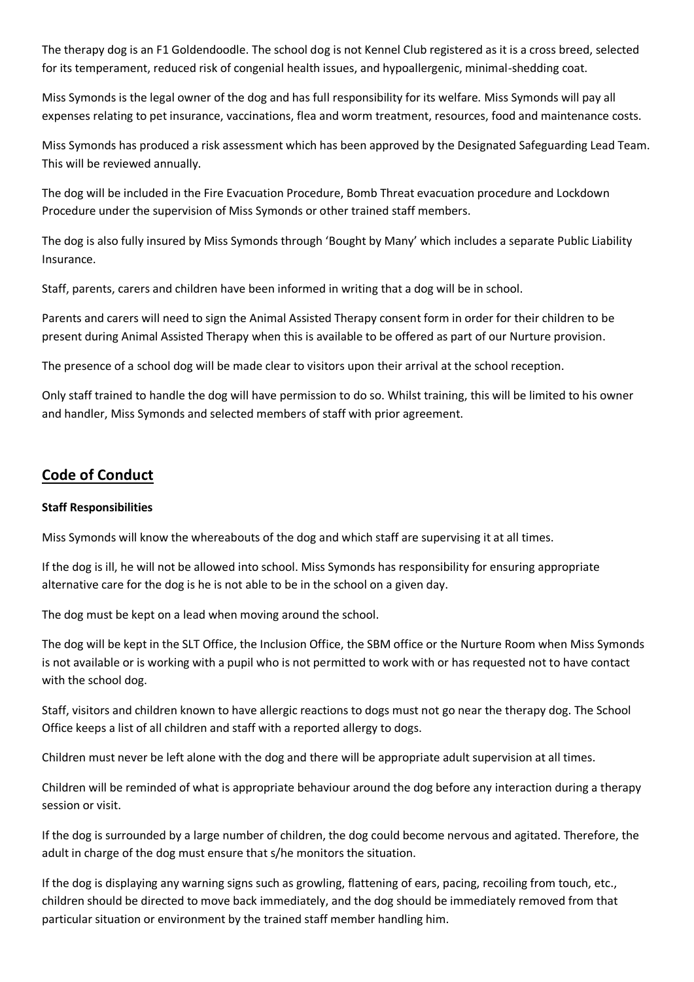The therapy dog is an F1 Goldendoodle. The school dog is not Kennel Club registered as it is a cross breed, selected for its temperament, reduced risk of congenial health issues, and hypoallergenic, minimal-shedding coat.

Miss Symonds is the legal owner of the dog and has full responsibility for its welfare. Miss Symonds will pay all expenses relating to pet insurance, vaccinations, flea and worm treatment, resources, food and maintenance costs.

Miss Symonds has produced a risk assessment which has been approved by the Designated Safeguarding Lead Team. This will be reviewed annually.

The dog will be included in the Fire Evacuation Procedure, Bomb Threat evacuation procedure and Lockdown Procedure under the supervision of Miss Symonds or other trained staff members.

The dog is also fully insured by Miss Symonds through 'Bought by Many' which includes a separate Public Liability Insurance.

Staff, parents, carers and children have been informed in writing that a dog will be in school.

Parents and carers will need to sign the Animal Assisted Therapy consent form in order for their children to be present during Animal Assisted Therapy when this is available to be offered as part of our Nurture provision.

The presence of a school dog will be made clear to visitors upon their arrival at the school reception.

Only staff trained to handle the dog will have permission to do so. Whilst training, this will be limited to his owner and handler, Miss Symonds and selected members of staff with prior agreement.

## **Code of Conduct**

#### **Staff Responsibilities**

Miss Symonds will know the whereabouts of the dog and which staff are supervising it at all times.

If the dog is ill, he will not be allowed into school. Miss Symonds has responsibility for ensuring appropriate alternative care for the dog is he is not able to be in the school on a given day.

The dog must be kept on a lead when moving around the school.

The dog will be kept in the SLT Office, the Inclusion Office, the SBM office or the Nurture Room when Miss Symonds is not available or is working with a pupil who is not permitted to work with or has requested not to have contact with the school dog.

Staff, visitors and children known to have allergic reactions to dogs must not go near the therapy dog. The School Office keeps a list of all children and staff with a reported allergy to dogs.

Children must never be left alone with the dog and there will be appropriate adult supervision at all times.

Children will be reminded of what is appropriate behaviour around the dog before any interaction during a therapy session or visit.

If the dog is surrounded by a large number of children, the dog could become nervous and agitated. Therefore, the adult in charge of the dog must ensure that s/he monitors the situation.

If the dog is displaying any warning signs such as growling, flattening of ears, pacing, recoiling from touch, etc., children should be directed to move back immediately, and the dog should be immediately removed from that particular situation or environment by the trained staff member handling him.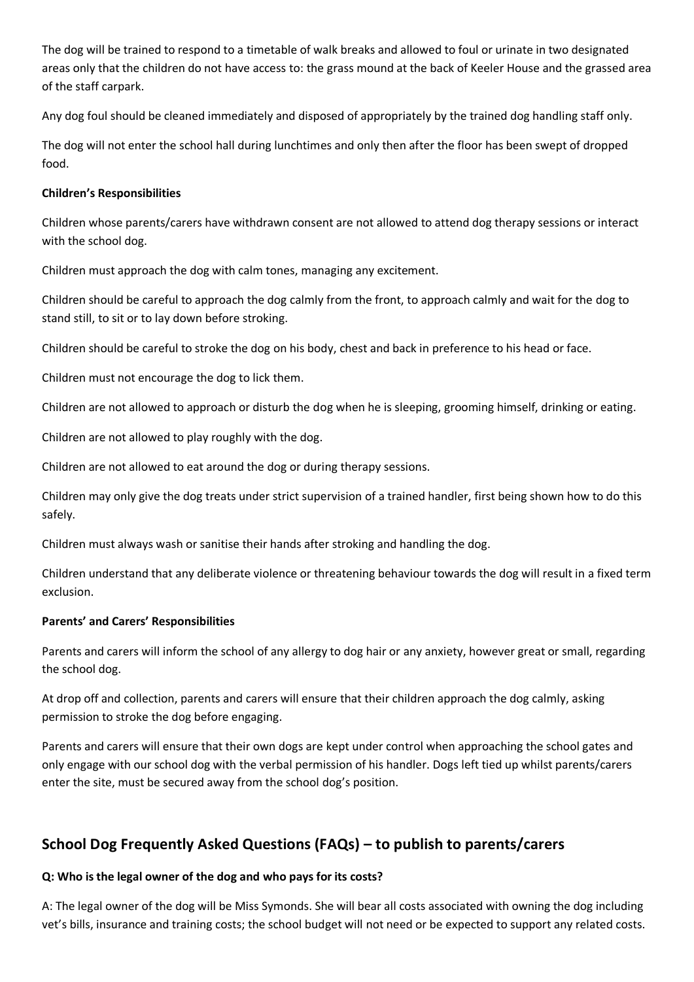The dog will be trained to respond to a timetable of walk breaks and allowed to foul or urinate in two designated areas only that the children do not have access to: the grass mound at the back of Keeler House and the grassed area of the staff carpark.

Any dog foul should be cleaned immediately and disposed of appropriately by the trained dog handling staff only.

The dog will not enter the school hall during lunchtimes and only then after the floor has been swept of dropped food.

#### **Children's Responsibilities**

Children whose parents/carers have withdrawn consent are not allowed to attend dog therapy sessions or interact with the school dog.

Children must approach the dog with calm tones, managing any excitement.

Children should be careful to approach the dog calmly from the front, to approach calmly and wait for the dog to stand still, to sit or to lay down before stroking.

Children should be careful to stroke the dog on his body, chest and back in preference to his head or face.

Children must not encourage the dog to lick them.

Children are not allowed to approach or disturb the dog when he is sleeping, grooming himself, drinking or eating.

Children are not allowed to play roughly with the dog.

Children are not allowed to eat around the dog or during therapy sessions.

Children may only give the dog treats under strict supervision of a trained handler, first being shown how to do this safely.

Children must always wash or sanitise their hands after stroking and handling the dog.

Children understand that any deliberate violence or threatening behaviour towards the dog will result in a fixed term exclusion.

#### **Parents' and Carers' Responsibilities**

Parents and carers will inform the school of any allergy to dog hair or any anxiety, however great or small, regarding the school dog.

At drop off and collection, parents and carers will ensure that their children approach the dog calmly, asking permission to stroke the dog before engaging.

Parents and carers will ensure that their own dogs are kept under control when approaching the school gates and only engage with our school dog with the verbal permission of his handler. Dogs left tied up whilst parents/carers enter the site, must be secured away from the school dog's position.

## **School Dog Frequently Asked Questions (FAQs) – to publish to parents/carers**

#### **Q: Who is the legal owner of the dog and who pays for its costs?**

A: The legal owner of the dog will be Miss Symonds. She will bear all costs associated with owning the dog including vet's bills, insurance and training costs; the school budget will not need or be expected to support any related costs.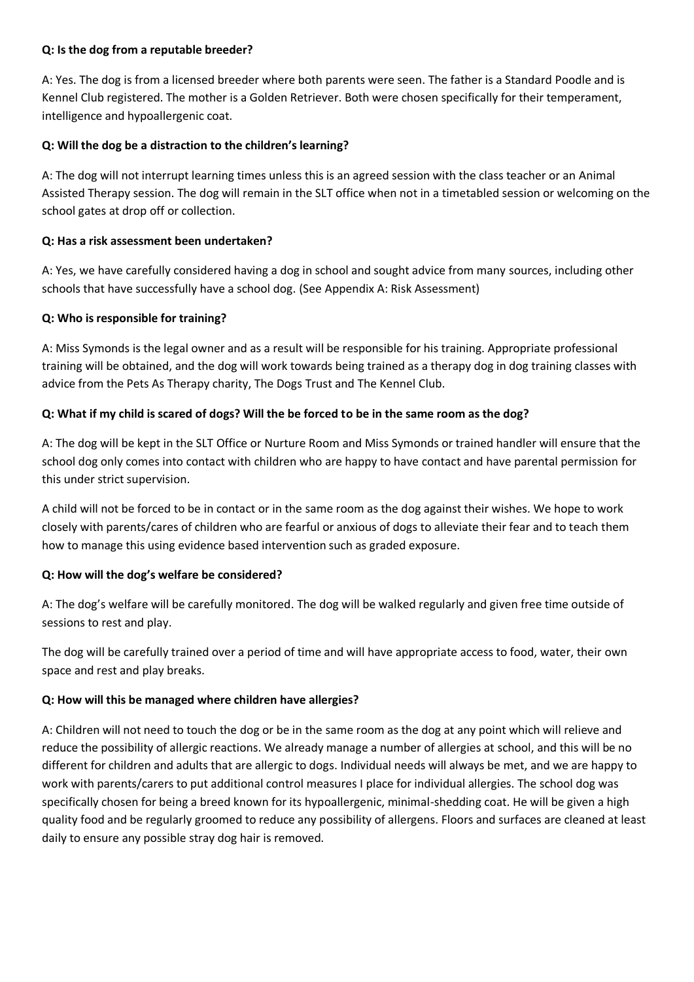#### **Q: Is the dog from a reputable breeder?**

A: Yes. The dog is from a licensed breeder where both parents were seen. The father is a Standard Poodle and is Kennel Club registered. The mother is a Golden Retriever. Both were chosen specifically for their temperament, intelligence and hypoallergenic coat.

#### **Q: Will the dog be a distraction to the children's learning?**

A: The dog will not interrupt learning times unless this is an agreed session with the class teacher or an Animal Assisted Therapy session. The dog will remain in the SLT office when not in a timetabled session or welcoming on the school gates at drop off or collection.

#### **Q: Has a risk assessment been undertaken?**

A: Yes, we have carefully considered having a dog in school and sought advice from many sources, including other schools that have successfully have a school dog. (See Appendix A: Risk Assessment)

#### **Q: Who is responsible for training?**

A: Miss Symonds is the legal owner and as a result will be responsible for his training. Appropriate professional training will be obtained, and the dog will work towards being trained as a therapy dog in dog training classes with advice from the Pets As Therapy charity, The Dogs Trust and The Kennel Club.

#### **Q: What if my child is scared of dogs? Will the be forced to be in the same room as the dog?**

A: The dog will be kept in the SLT Office or Nurture Room and Miss Symonds or trained handler will ensure that the school dog only comes into contact with children who are happy to have contact and have parental permission for this under strict supervision.

A child will not be forced to be in contact or in the same room as the dog against their wishes. We hope to work closely with parents/cares of children who are fearful or anxious of dogs to alleviate their fear and to teach them how to manage this using evidence based intervention such as graded exposure.

#### **Q: How will the dog's welfare be considered?**

A: The dog's welfare will be carefully monitored. The dog will be walked regularly and given free time outside of sessions to rest and play.

The dog will be carefully trained over a period of time and will have appropriate access to food, water, their own space and rest and play breaks.

#### **Q: How will this be managed where children have allergies?**

A: Children will not need to touch the dog or be in the same room as the dog at any point which will relieve and reduce the possibility of allergic reactions. We already manage a number of allergies at school, and this will be no different for children and adults that are allergic to dogs. Individual needs will always be met, and we are happy to work with parents/carers to put additional control measures I place for individual allergies. The school dog was specifically chosen for being a breed known for its hypoallergenic, minimal-shedding coat. He will be given a high quality food and be regularly groomed to reduce any possibility of allergens. Floors and surfaces are cleaned at least daily to ensure any possible stray dog hair is removed.